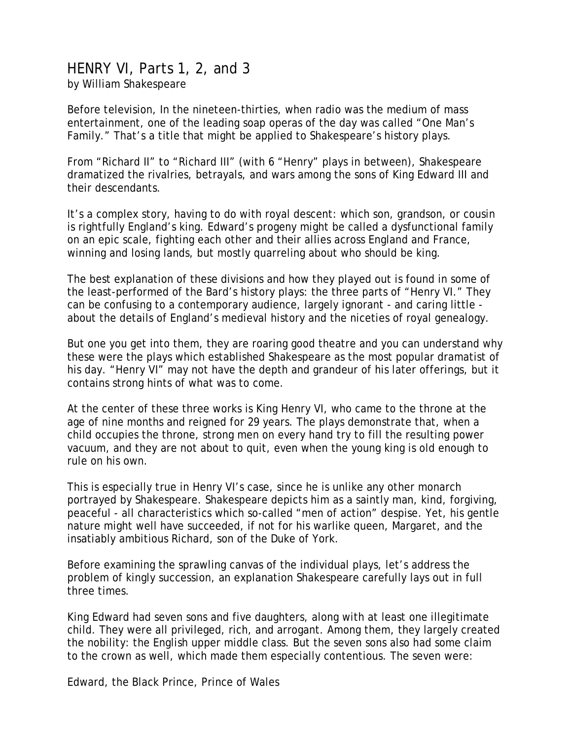## HENRY VI, Parts 1, 2, and 3

by William Shakespeare

Before television, In the nineteen-thirties, when radio was the medium of mass entertainment, one of the leading soap operas of the day was called "One Man's Family." That's a title that might be applied to Shakespeare's history plays.

From "Richard II" to "Richard III" (with 6 "Henry" plays in between), Shakespeare dramatized the rivalries, betrayals, and wars among the sons of King Edward III and their descendants.

It's a complex story, having to do with royal descent: which son, grandson, or cousin is rightfully England's king. Edward's progeny might be called a dysfunctional family on an epic scale, fighting each other and their allies across England and France, winning and losing lands, but mostly quarreling about who should be king.

The best explanation of these divisions and how they played out is found in some of the least-performed of the Bard's history plays: the three parts of "Henry VI." They can be confusing to a contemporary audience, largely ignorant - and caring little about the details of England's medieval history and the niceties of royal genealogy.

But one you get into them, they are roaring good theatre and you can understand why these were the plays which established Shakespeare as the most popular dramatist of his day. "Henry VI" may not have the depth and grandeur of his later offerings, but it contains strong hints of what was to come.

At the center of these three works is King Henry VI, who came to the throne at the age of nine months and reigned for 29 years. The plays demonstrate that, when a child occupies the throne, strong men on every hand try to fill the resulting power vacuum, and they are not about to quit, even when the young king is old enough to rule on his own.

This is especially true in Henry VI's case, since he is unlike any other monarch portrayed by Shakespeare. Shakespeare depicts him as a saintly man, kind, forgiving, peaceful - all characteristics which so-called "men of action" despise. Yet, his gentle nature might well have succeeded, if not for his warlike queen, Margaret, and the insatiably ambitious Richard, son of the Duke of York.

Before examining the sprawling canvas of the individual plays, let's address the problem of kingly succession, an explanation Shakespeare carefully lays out in full three times.

King Edward had seven sons and five daughters, along with at least one illegitimate child. They were all privileged, rich, and arrogant. Among them, they largely created the nobility: the English upper middle class. But the seven sons also had some claim to the crown as well, which made them especially contentious. The seven were:

Edward, the Black Prince, Prince of Wales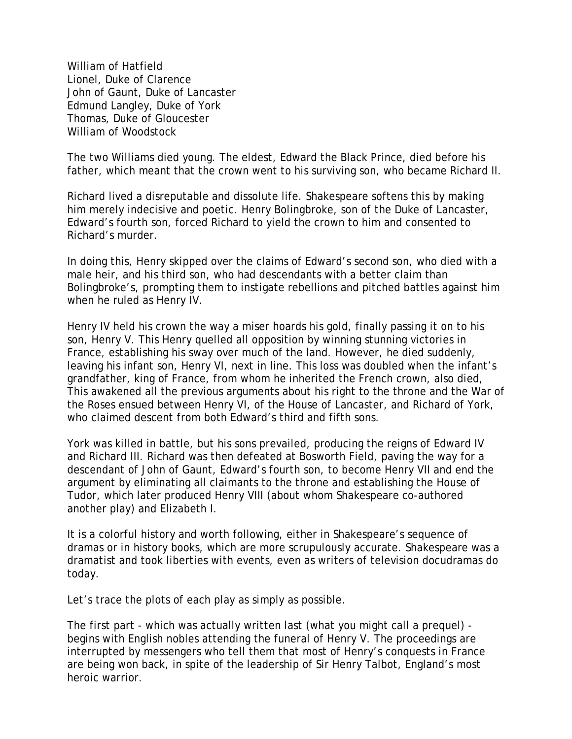William of Hatfield Lionel, Duke of Clarence John of Gaunt, Duke of Lancaster Edmund Langley, Duke of York Thomas, Duke of Gloucester William of Woodstock

The two Williams died young. The eldest, Edward the Black Prince, died before his father, which meant that the crown went to his surviving son, who became Richard II.

Richard lived a disreputable and dissolute life. Shakespeare softens this by making him merely indecisive and poetic. Henry Bolingbroke, son of the Duke of Lancaster, Edward's fourth son, forced Richard to yield the crown to him and consented to Richard's murder.

In doing this, Henry skipped over the claims of Edward's second son, who died with a male heir, and his third son, who had descendants with a better claim than Bolingbroke's, prompting them to instigate rebellions and pitched battles against him when he ruled as Henry IV.

Henry IV held his crown the way a miser hoards his gold, finally passing it on to his son, Henry V. This Henry quelled all opposition by winning stunning victories in France, establishing his sway over much of the land. However, he died suddenly, leaving his infant son, Henry VI, next in line. This loss was doubled when the infant's grandfather, king of France, from whom he inherited the French crown, also died, This awakened all the previous arguments about his right to the throne and the War of the Roses ensued between Henry VI, of the House of Lancaster, and Richard of York, who claimed descent from both Edward's third and fifth sons.

York was killed in battle, but his sons prevailed, producing the reigns of Edward IV and Richard III. Richard was then defeated at Bosworth Field, paving the way for a descendant of John of Gaunt, Edward's fourth son, to become Henry VII and end the argument by eliminating all claimants to the throne and establishing the House of Tudor, which later produced Henry VIII (about whom Shakespeare co-authored another play) and Elizabeth I.

It is a colorful history and worth following, either in Shakespeare's sequence of dramas or in history books, which are more scrupulously accurate. Shakespeare was a dramatist and took liberties with events, even as writers of television docudramas do today.

Let's trace the plots of each play as simply as possible.

The first part - which was actually written last (what you might call a prequel) begins with English nobles attending the funeral of Henry V. The proceedings are interrupted by messengers who tell them that most of Henry's conquests in France are being won back, in spite of the leadership of Sir Henry Talbot, England's most heroic warrior.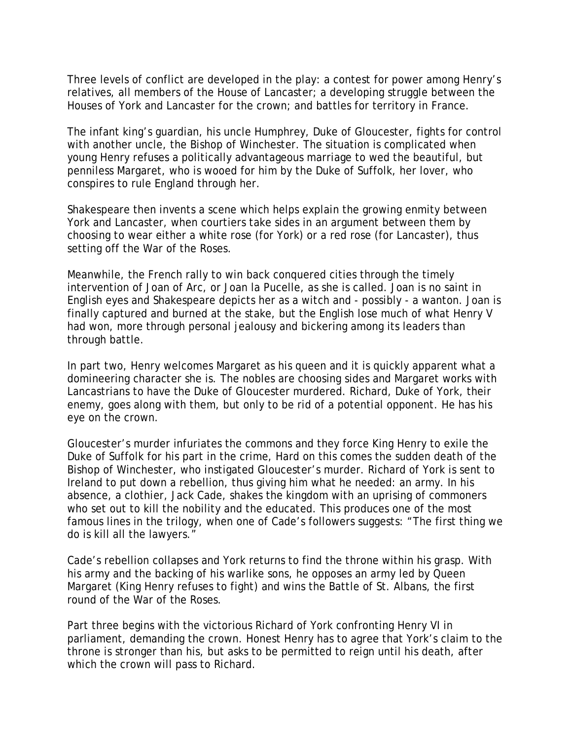Three levels of conflict are developed in the play: a contest for power among Henry's relatives, all members of the House of Lancaster; a developing struggle between the Houses of York and Lancaster for the crown; and battles for territory in France.

The infant king's guardian, his uncle Humphrey, Duke of Gloucester, fights for control with another uncle, the Bishop of Winchester. The situation is complicated when young Henry refuses a politically advantageous marriage to wed the beautiful, but penniless Margaret, who is wooed for him by the Duke of Suffolk, her lover, who conspires to rule England through her.

Shakespeare then invents a scene which helps explain the growing enmity between York and Lancaster, when courtiers take sides in an argument between them by choosing to wear either a white rose (for York) or a red rose (for Lancaster), thus setting off the War of the Roses.

Meanwhile, the French rally to win back conquered cities through the timely intervention of Joan of Arc, or Joan la Pucelle, as she is called. Joan is no saint in English eyes and Shakespeare depicts her as a witch and - possibly - a wanton. Joan is finally captured and burned at the stake, but the English lose much of what Henry V had won, more through personal jealousy and bickering among its leaders than through battle.

In part two, Henry welcomes Margaret as his queen and it is quickly apparent what a domineering character she is. The nobles are choosing sides and Margaret works with Lancastrians to have the Duke of Gloucester murdered. Richard, Duke of York, their enemy, goes along with them, but only to be rid of a potential opponent. He has his eye on the crown.

Gloucester's murder infuriates the commons and they force King Henry to exile the Duke of Suffolk for his part in the crime, Hard on this comes the sudden death of the Bishop of Winchester, who instigated Gloucester's murder. Richard of York is sent to Ireland to put down a rebellion, thus giving him what he needed: an army. In his absence, a clothier, Jack Cade, shakes the kingdom with an uprising of commoners who set out to kill the nobility and the educated. This produces one of the most famous lines in the trilogy, when one of Cade's followers suggests: "The first thing we do is kill all the lawyers."

Cade's rebellion collapses and York returns to find the throne within his grasp. With his army and the backing of his warlike sons, he opposes an army led by Queen Margaret (King Henry refuses to fight) and wins the Battle of St. Albans, the first round of the War of the Roses.

Part three begins with the victorious Richard of York confronting Henry VI in parliament, demanding the crown. Honest Henry has to agree that York's claim to the throne is stronger than his, but asks to be permitted to reign until his death, after which the crown will pass to Richard.